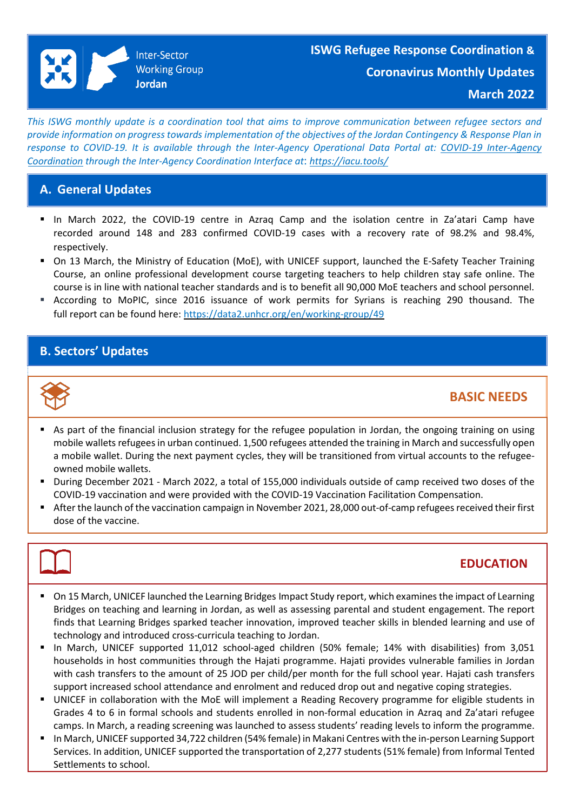This ISWG monthly update is a coordination tool that aims to improve communication between refugee sectors and provide information on progress towards implementation of the objectives of the Jordan Contingency & Response Plan in *response to COVID-19. It is available through the Inter-Agency Operational Data Portal at: COVID-19 [Inter-Agency](file:///C:/Users/Ahmad%20Bawaneh/AppData/Local/Microsoft/Windows/INetCache/Content.Outlook/98WIBXTL/COVID-19%20Inter-Agency%20Coordination%20through%20the%20Inter-Agency%20Coordination%20Interface%20at:%20https:/iacu.tools/) Coordination through the Inter-Agency Coordination Interface at*: *[https://iacu.tools/](file:///C:/Users/Ahmad%20Bawaneh/AppData/Local/Microsoft/Windows/INetCache/Content.Outlook/98WIBXTL/COVID-19%20Inter-Agency%20Coordination%20through%20the%20Inter-Agency%20Coordination%20Interface%20at:%20https:/iacu.tools/)* 

## **A. General Updates**

- In March 2022, the COVID-19 centre in Azraq Camp and the isolation centre in Za'atari Camp have recorded around 148 and 283 confirmed COVID-19 cases with a recovery rate of 98.2% and 98.4%, respectively.
- On 13 March, the Ministry of Education (MoE), with UNICEF support, launched the E-Safety Teacher Training Course, an online professional development course targeting teachers to help children stay safe online. The course is in line with national teacher standards and is to benefit all 90,000 MoE teachers and school personnel.
- **E** According to MoPIC, since 2016 issuance of work permits for Syrians is reaching 290 thousand. The full report can be found here: [https://data2.unhcr.org/en/working-group/49](https://eur02.safelinks.protection.outlook.com/?url=https%3A%2F%2Fdata2.unhcr.org%2Fen%2Fworking-group%2F49&data=04%7C01%7Cguseva%40unhcr.org%7C8871d613180e4a5f71ee08da188f2a19%7Ce5c37981666441348a0c6543d2af80be%7C0%7C0%7C637849300401599159%7CUnknown%7CTWFpbGZsb3d8eyJWIjoiMC4wLjAwMDAiLCJQIjoiV2luMzIiLCJBTiI6Ik1haWwiLCJXVCI6Mn0%3D%7C3000&sdata=gDYYaQbJzsRbcPieMXQ2l9QcyGhcrRLUHl5eJ5lfpII%3D&reserved=0)

## **B. Sectors' Updates**



## **BASIC NEEDS**

- As part of the financial inclusion strategy for the refugee population in Jordan, the ongoing training on using mobile wallets refugees in urban continued. 1,500 refugees attended the training in March and successfully open a mobile wallet. During the next payment cycles, they will be transitioned from virtual accounts to the refugeeowned mobile wallets.
- During December 2021 March 2022, a total of 155,000 individuals outside of camp received two doses of the COVID-19 vaccination and were provided with the COVID-19 Vaccination Facilitation Compensation.
- After the launch of the vaccination campaign in November 2021, 28,000 out-of-camp refugees received their first dose of the vaccine.



# **EDUCATION**

- On 15 March, UNICEF launched the Learning Bridges Impact Study report, which examines the impact of Learning Bridges on teaching and learning in Jordan, as well as assessing parental and student engagement. The report finds that Learning Bridges sparked teacher innovation, improved teacher skills in blended learning and use of technology and introduced cross-curricula teaching to Jordan.
- In March, UNICEF supported 11,012 school-aged children (50% female; 14% with disabilities) from 3,051 households in host communities through the Hajati programme. Hajati provides vulnerable families in Jordan with cash transfers to the amount of 25 JOD per child/per month for the full school year. Hajati cash transfers support increased school attendance and enrolment and reduced drop out and negative coping strategies.
- UNICEF in collaboration with the MoE will implement a Reading Recovery programme for eligible students in Grades 4 to 6 in formal schools and students enrolled in non-formal education in Azraq and Za'atari refugee camps. In March, a reading screening was launched to assess students' reading levels to inform the programme.
- In March, UNICEF supported 34,722 children (54% female) in Makani Centres with the in-person Learning Support Services. In addition, UNICEF supported the transportation of 2,277 students (51% female) from Informal Tented Settlements to school.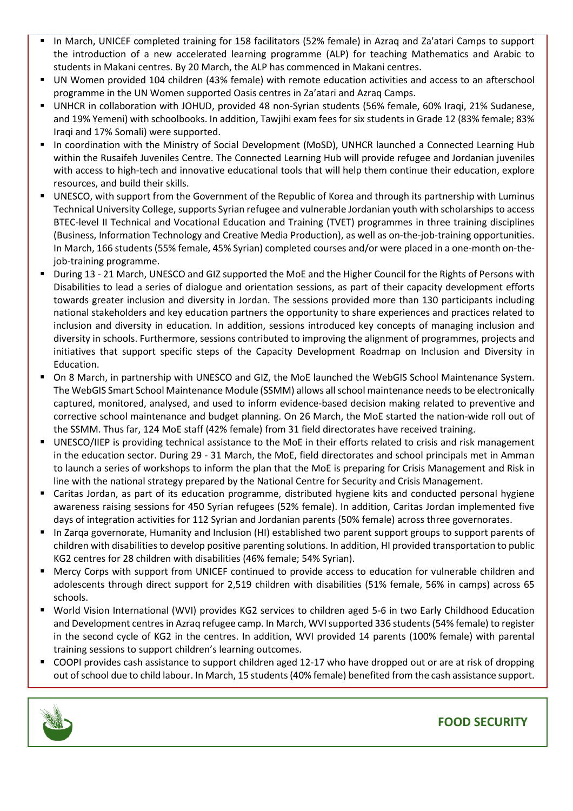- In March, UNICEF completed training for 158 facilitators (52% female) in Azraq and Za'atari Camps to support the introduction of a new accelerated learning programme (ALP) for teaching Mathematics and Arabic to students in Makani centres. By 20 March, the ALP has commenced in Makani centres.
- UN Women provided 104 children (43% female) with remote education activities and access to an afterschool programme in the UN Women supported Oasis centres in Za'atari and Azraq Camps.
- UNHCR in collaboration with JOHUD, provided 48 non-Syrian students (56% female, 60% Iraqi, 21% Sudanese, and 19% Yemeni) with schoolbooks. In addition, Tawjihi exam fees for six students in Grade 12 (83% female; 83% Iraqi and 17% Somali) were supported.
- In coordination with the Ministry of Social Development (MoSD), UNHCR launched a Connected Learning Hub within the Rusaifeh Juveniles Centre. The Connected Learning Hub will provide refugee and Jordanian juveniles with access to high-tech and innovative educational tools that will help them continue their education, explore resources, and build their skills.
- UNESCO, with support from the Government of the Republic of Korea and through its partnership with Luminus Technical University College, supports Syrian refugee and vulnerable Jordanian youth with scholarships to access BTEC-level II Technical and Vocational Education and Training (TVET) programmes in three training disciplines (Business, Information Technology and Creative Media Production), as well as on-the-job-training opportunities. In March, 166 students (55% female, 45% Syrian) completed courses and/or were placed in a one-month on-thejob-training programme.
- During 13 21 March, UNESCO and GIZ supported the MoE and the Higher Council for the Rights of Persons with Disabilities to lead a series of dialogue and orientation sessions, as part of their capacity development efforts towards greater inclusion and diversity in Jordan. The sessions provided more than 130 participants including national stakeholders and key education partners the opportunity to share experiences and practices related to inclusion and diversity in education. In addition, sessions introduced key concepts of managing inclusion and diversity in schools. Furthermore, sessions contributed to improving the alignment of programmes, projects and initiatives that support specific steps of the Capacity Development Roadmap on Inclusion and Diversity in Education.
- On 8 March, in partnership with UNESCO and GIZ, the MoE launched the WebGIS School Maintenance System. The WebGIS Smart School Maintenance Module (SSMM) allows allschool maintenance needsto be electronically captured, monitored, analysed, and used to inform evidence-based decision making related to preventive and corrective school maintenance and budget planning. On 26 March, the MoE started the nation-wide roll out of the SSMM. Thus far, 124 MoE staff (42% female) from 31 field directorates have received training.
- UNESCO/IIEP is providing technical assistance to the MoE in their efforts related to crisis and risk management in the education sector. During 29 - 31 March, the MoE, field directorates and school principals met in Amman to launch a series of workshops to inform the plan that the MoE is preparing for Crisis Management and Risk in line with the national strategy prepared by the National Centre for Security and Crisis Management.
- Caritas Jordan, as part of its education programme, distributed hygiene kits and conducted personal hygiene awareness raising sessions for 450 Syrian refugees (52% female). In addition, Caritas Jordan implemented five days of integration activities for 112 Syrian and Jordanian parents (50% female) across three governorates.
- In Zarqa governorate, Humanity and Inclusion (HI) established two parent support groups to support parents of children with disabilitiesto develop positive parenting solutions. In addition, HI provided transportation to public KG2 centres for 28 children with disabilities (46% female; 54% Syrian).
- Mercy Corps with support from UNICEF continued to provide access to education for vulnerable children and adolescents through direct support for 2,519 children with disabilities (51% female, 56% in camps) across 65 schools.
- World Vision International (WVI) provides KG2 services to children aged 5-6 in two Early Childhood Education and Development centresin Azraq refugee camp. In March, WVIsupported 336 students(54% female) to register in the second cycle of KG2 in the centres. In addition, WVI provided 14 parents (100% female) with parental training sessions to support children's learning outcomes.
- COOPI provides cash assistance to support children aged 12-17 who have dropped out or are at risk of dropping out of school due to child labour. In March, 15 students (40% female) benefited from the cash assistance support.



# **FOOD SECURITY**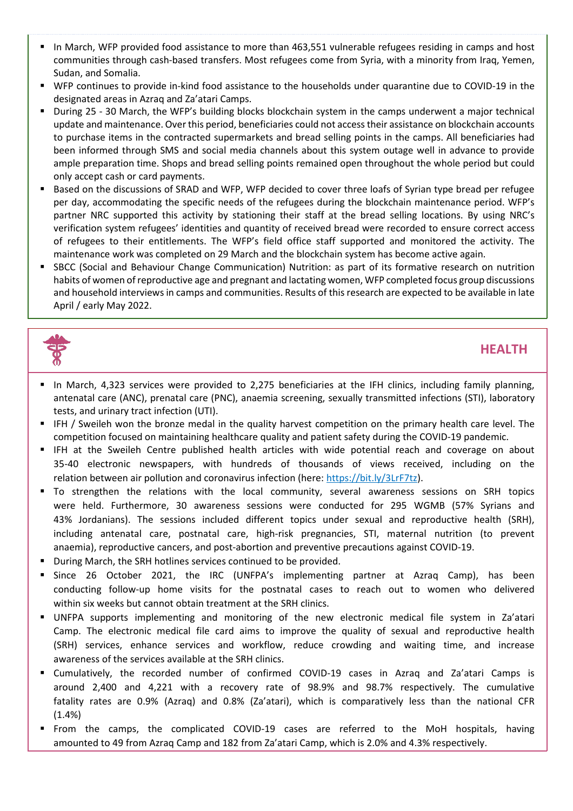- In March, WFP provided food assistance to more than 463,551 vulnerable refugees residing in camps and host communities through cash-based transfers. Most refugees come from Syria, with a minority from Iraq, Yemen, Sudan, and Somalia.
- WFP continues to provide in-kind food assistance to the households under quarantine due to COVID-19 in the designated areas in Azraq and Za'atari Camps.
- During 25 30 March, the WFP's building blocks blockchain system in the camps underwent a major technical update and maintenance. Over this period, beneficiaries could not accesstheir assistance on blockchain accounts to purchase items in the contracted supermarkets and bread selling points in the camps. All beneficiaries had been informed through SMS and social media channels about this system outage well in advance to provide ample preparation time. Shops and bread selling points remained open throughout the whole period but could only accept cash or card payments.
- Based on the discussions of SRAD and WFP, WFP decided to cover three loafs of Syrian type bread per refugee per day, accommodating the specific needs of the refugees during the blockchain maintenance period. WFP's partner NRC supported this activity by stationing their staff at the bread selling locations. By using NRC's verification system refugees' identities and quantity of received bread were recorded to ensure correct access of refugees to their entitlements. The WFP's field office staff supported and monitored the activity. The maintenance work was completed on 29 March and the blockchain system has become active again.
- SBCC (Social and Behaviour Change Communication) Nutrition: as part of its formative research on nutrition habits of women ofreproductive age and pregnant and lactating women, WFP completed focus group discussions and household interviews in camps and communities. Results of this research are expected to be available in late April / early May 2022.



## **HEALTH**

- In March, 4,323 services were provided to 2,275 beneficiaries at the IFH clinics, including family planning, antenatal care (ANC), prenatal care (PNC), anaemia screening, sexually transmitted infections (STI), laboratory tests, and urinary tract infection (UTI).
- IFH / Sweileh won the bronze medal in the quality harvest competition on the primary health care level. The competition focused on maintaining healthcare quality and patient safety during the COVID-19 pandemic.
- **EXTER 19 IFH at the Sweileh Centre published health articles with wide potential reach and coverage on about** 35-40 electronic newspapers, with hundreds of thousands of views received, including on the relation between air pollution and coronavirus infection (here: [https://bit.ly/3LrF7tz\)](https://bit.ly/3LrF7tz).
- To strengthen the relations with the local community, several awareness sessions on SRH topics were held. Furthermore, 30 awareness sessions were conducted for 295 WGMB (57% Syrians and 43% Jordanians). The sessions included different topics under sexual and reproductive health (SRH), including antenatal care, postnatal care, high-risk pregnancies, STI, maternal nutrition (to prevent anaemia), reproductive cancers, and post-abortion and preventive precautions against COVID-19.
- During March, the SRH hotlines services continued to be provided.
- Since 26 October 2021, the IRC (UNFPA's implementing partner at Azraq Camp), has been conducting follow-up home visits for the postnatal cases to reach out to women who delivered within six weeks but cannot obtain treatment at the SRH clinics.
- UNFPA supports implementing and monitoring of the new electronic medical file system in Za'atari Camp. The electronic medical file card aims to improve the quality of sexual and reproductive health (SRH) services, enhance services and workflow, reduce crowding and waiting time, and increase awareness of the services available at the SRH clinics.
- Cumulatively, the recorded number of confirmed COVID-19 cases in Azraq and Za'atari Camps is around 2,400 and 4,221 with a recovery rate of 98.9% and 98.7% respectively. The cumulative fatality rates are 0.9% (Azraq) and 0.8% (Za'atari), which is comparatively less than the national CFR  $(1.4\%)$
- From the camps, the complicated COVID-19 cases are referred to the MoH hospitals, having amounted to 49 from Azraq Camp and 182 from Za'atari Camp, which is 2.0% and 4.3% respectively.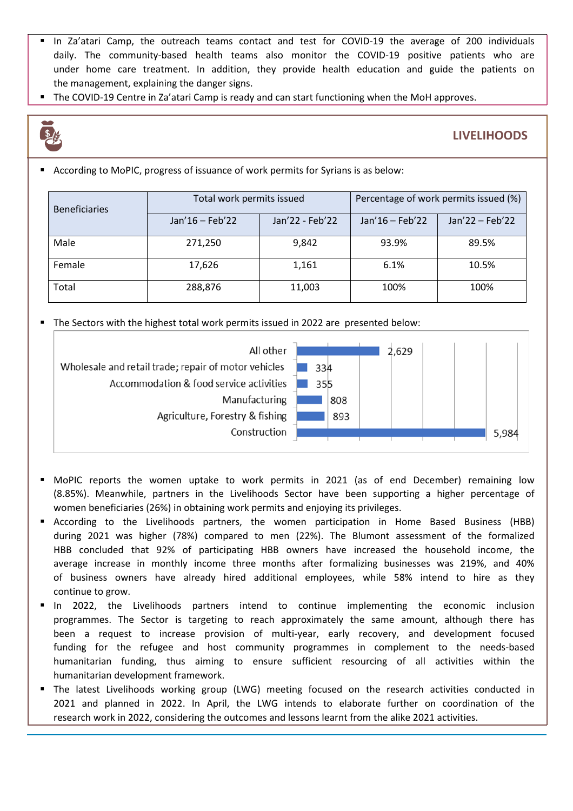- In Za'atari Camp, the outreach teams contact and test for COVID-19 the average of 200 individuals daily. The community-based health teams also monitor the COVID-19 positive patients who are under home care treatment. In addition, they provide health education and guide the patients on the management, explaining the danger signs.
- The COVID-19 Centre in Za'atari Camp is ready and can start functioning when the MoH approves.



### **LIVELIHOODS**

■ According to MoPIC, progress of issuance of work permits for Syrians is as below:

| <b>Beneficiaries</b> | Total work permits issued |                 | Percentage of work permits issued (%) |                 |
|----------------------|---------------------------|-----------------|---------------------------------------|-----------------|
|                      | Jan'16 - Feb'22           | Jan'22 - Feb'22 | Jan'16 - Feb'22                       | Jan'22 - Feb'22 |
| Male                 | 271,250                   | 9,842           | 93.9%                                 | 89.5%           |
| Female               | 17,626                    | 1,161           | 6.1%                                  | 10.5%           |
| Total                | 288,876                   | 11,003          | 100%                                  | 100%            |

The Sectors with the highest total work permits issued in 2022 are presented below:



- MoPIC reports the women uptake to work permits in 2021 (as of end December) remaining low (8.85%). Meanwhile, partners in the Livelihoods Sector have been supporting a higher percentage of women beneficiaries (26%) in obtaining work permits and enjoying its privileges.
- According to the Livelihoods partners, the women participation in Home Based Business (HBB) during 2021 was higher (78%) compared to men (22%). The Blumont assessment of the formalized HBB concluded that 92% of participating HBB owners have increased the household income, the average increase in monthly income three months after formalizing businesses was 219%, and 40% of business owners have already hired additional employees, while 58% intend to hire as they continue to grow.
- In 2022, the Livelihoods partners intend to continue implementing the economic inclusion programmes. The Sector is targeting to reach approximately the same amount, although there has been a request to increase provision of multi-year, early recovery, and development focused funding for the refugee and host community programmes in complement to the needs-based humanitarian funding, thus aiming to ensure sufficient resourcing of all activities within the humanitarian development framework.
- The latest Livelihoods working group (LWG) meeting focused on the research activities conducted in 2021 and planned in 2022. In April, the LWG intends to elaborate further on coordination of the research work in 2022, considering the outcomes and lessons learnt from the alike 2021 activities.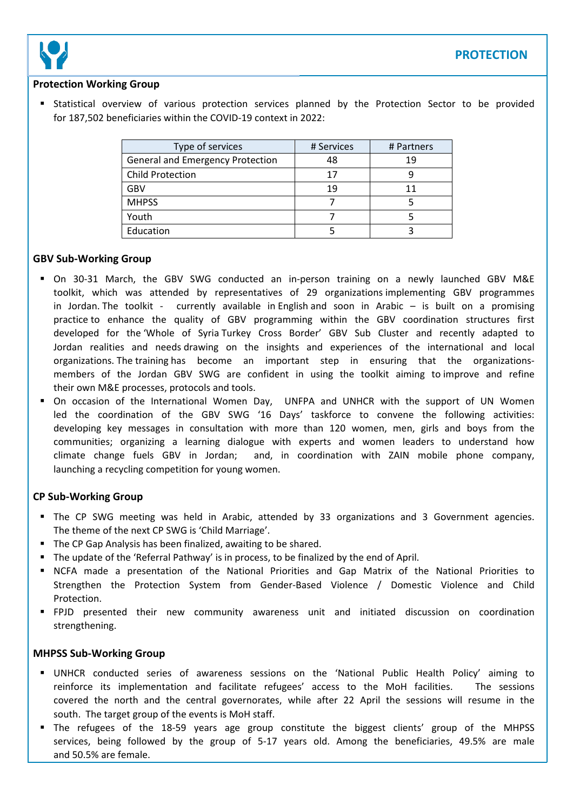

### **Protection Working Group**

**Example 3 Statistical overview of various protection services planned by the Protection Sector to be provided** for 187,502 beneficiaries within the COVID-19 context in 2022:

| Type of services                        | # Services | # Partners |
|-----------------------------------------|------------|------------|
| <b>General and Emergency Protection</b> | 48         | 19         |
| <b>Child Protection</b>                 | 17         |            |
| <b>GBV</b>                              | 19         | 11         |
| <b>MHPSS</b>                            |            |            |
| Youth                                   |            |            |
| Education                               |            |            |

### **GBV Sub-Working Group**

- On 30-31 March, the GBV SWG conducted an in-person training on a newly launched GBV M&E toolkit, which was attended by representatives of 29 organizations implementing GBV programmes in Jordan. The toolkit - currently available in [English](https://eur02.safelinks.protection.outlook.com/?url=https%3A%2F%2Fdata2.unhcr.org%2Fen%2Fdocuments%2Fdetails%2F91685&data=04%7C01%7Caltwaiq%40unhcr.org%7Cf1e6f115a45e43d88c3d08da1319e966%7Ce5c37981666441348a0c6543d2af80be%7C0%7C0%7C637843299284199484%7CUnknown%7CTWFpbGZsb3d8eyJWIjoiMC4wLjAwMDAiLCJQIjoiV2luMzIiLCJBTiI6Ik1haWwiLCJXVCI6Mn0%3D%7C3000&sdata=GcA1eOsG2f%2BS8J0ooqaH2p76Ic2JAi%2Ff9Nfq8LN3xRM%3D&reserved=0) and soon in Arabic – is built on a promising practice to enhance the quality of GBV programming within the GBV coordination structures first developed for the 'Whole of Syria Turkey Cross Border' GBV Sub Cluster and recently adapted to Jordan realities and needs drawing on the insights and experiences of the international and local organizations. The [training](https://eur02.safelinks.protection.outlook.com/?url=https%3A%2F%2Ftwitter.com%2FUNFPAJordan%2Fstatus%2F1509502152955383809&data=04%7C01%7Caltwaiq%40unhcr.org%7Cf1e6f115a45e43d88c3d08da1319e966%7Ce5c37981666441348a0c6543d2af80be%7C0%7C0%7C637843299284199484%7CUnknown%7CTWFpbGZsb3d8eyJWIjoiMC4wLjAwMDAiLCJQIjoiV2luMzIiLCJBTiI6Ik1haWwiLCJXVCI6Mn0%3D%7C3000&sdata=x9KV7qQbr8ATGTHVtoYKxJSvQRAo8yyAKUiDCjGt%2FqM%3D&reserved=0) has become an important step in ensuring that the organizationsmembers of the Jordan GBV SWG are confident in using the toolkit aiming to improve and refine their own M&E processes, protocols and tools.
- On occasion of the International Women Day, UNFPA and UNHCR with the support of UN Women led the coordination of the GBV SWG '16 Days' taskforce to convene the following activities: developing key messages in consultation with more than 120 women, men, girls and boys from the communities; organizing a learning [dialogue](https://eur02.safelinks.protection.outlook.com/?url=https%3A%2F%2Fwww.youtube.com%2Fwatch%3Fv%3D1cREoNzkx4M%26t%3D905s&data=04%7C01%7Caltwaiq%40unhcr.org%7C90064af46ab0435a4b7008da1095e07b%7Ce5c37981666441348a0c6543d2af80be%7C0%7C0%7C637840533174121824%7CUnknown%7CTWFpbGZsb3d8eyJWIjoiMC4wLjAwMDAiLCJQIjoiV2luMzIiLCJBTiI6Ik1haWwiLCJXVCI6Mn0%3D%7C3000&sdata=z%2BGgtWU0dfeKt4dLNVxiCaq7PUeEOSfGoEK1Mu4uJYM%3D&reserved=0) with experts and women leaders to understand how climate change fuels GBV in Jordan; and, in coordination with ZAIN mobile phone company, launching a recycling [competition](https://www.facebook.com/588408587842784/posts/5630175110332748/) for young women.

#### **CP Sub-Working Group**

- The CP SWG meeting was held in Arabic, attended by 33 organizations and 3 Government agencies. The theme of the next CP SWG is 'Child Marriage'.
- The CP Gap Analysis has been finalized, awaiting to be shared.
- The update of the 'Referral Pathway' is in process, to be finalized by the end of April.
- NCFA made a presentation of the National Priorities and Gap Matrix of the National Priorities to Strengthen the Protection System from Gender-Based Violence / Domestic Violence and Child Protection.
- FPJD presented their new community awareness unit and initiated discussion on coordination strengthening.

#### **MHPSS Sub-Working Group**

- UNHCR conducted series of awareness sessions on the 'National Public Health Policy' aiming to reinforce its implementation and facilitate refugees' access to the MoH facilities. The sessions covered the north and the central governorates, while after 22 April the sessions will resume in the south. The target group of the events is MoH staff.
- The refugees of the 18-59 years age group constitute the biggest clients' group of the MHPSS services, being followed by the group of 5-17 years old. Among the beneficiaries, 49.5% are male and 50.5% are female.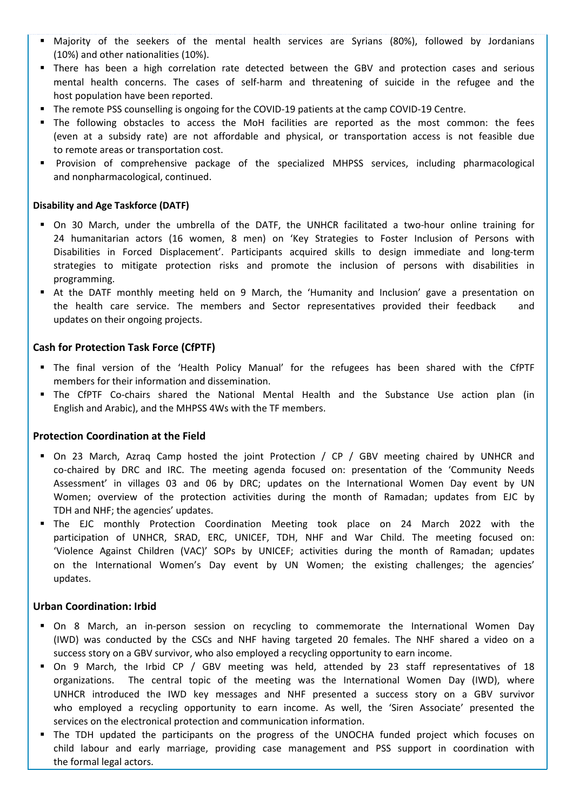- Majority of the seekers of the mental health services are Syrians (80%), followed by Jordanians (10%) and other nationalities (10%).
- **E** There has been a high correlation rate detected between the GBV and protection cases and serious mental health concerns. The cases of self-harm and threatening of suicide in the refugee and the host population have been reported.
- The remote PSS counselling is ongoing for the COVID-19 patients at the camp COVID-19 Centre.
- The following obstacles to access the MoH facilities are reported as the most common: the fees (even at a subsidy rate) are not affordable and physical, or transportation access is not feasible due to remote areas or transportation cost.
- Provision of comprehensive package of the specialized MHPSS services, including pharmacological and nonpharmacological, continued.

#### **Disability and Age Taskforce (DATF)**

- On 30 March, under the umbrella of the DATF, the UNHCR facilitated a two-hour online training for 24 humanitarian actors (16 women, 8 men) on 'Key Strategies to Foster Inclusion of Persons with Disabilities in Forced Displacement'. Participants acquired skills to design immediate and long-term strategies to mitigate protection risks and promote the inclusion of persons with disabilities in programming.
- At the DATF monthly meeting held on 9 March, the 'Humanity and Inclusion' gave a presentation on the health care service. The members and Sector representatives provided their feedback and updates on their ongoing projects.

#### **Cash for Protection Task Force (CfPTF)**

- The final version of the 'Health Policy Manual' for the refugees has been shared with the CfPTF members for their information and dissemination.
- " The CfPTF Co-chairs shared the National Mental Health and the Substance Use action plan (in English and Arabic), and the MHPSS 4Ws with the TF members.

#### **Protection Coordination at the Field**

- On 23 March, Azraq Camp hosted the joint Protection / CP / GBV meeting chaired by UNHCR and co-chaired by DRC and IRC. The meeting agenda focused on: presentation of the 'Community Needs Assessment' in villages 03 and 06 by DRC; updates on the International Women Day event by UN Women; overview of the protection activities during the month of Ramadan; updates from EJC by TDH and NHF; the agencies' updates.
- The EJC monthly Protection Coordination Meeting took place on 24 March 2022 with the participation of UNHCR, SRAD, ERC, UNICEF, TDH, NHF and War Child. The meeting focused on: 'Violence Against Children (VAC)' SOPs by UNICEF; activities during the month of Ramadan; updates on the International Women's Day event by UN Women; the existing challenges; the agencies' updates.

#### **Urban Coordination: Irbid**

- On 8 March, an in-person session on recycling to commemorate the International Women Day (IWD) was conducted by the CSCs and NHF having targeted 20 females. The NHF shared a video on a success story on a GBV survivor, who also employed a recycling opportunity to earn income.
- On 9 March, the Irbid CP / GBV meeting was held, attended by 23 staff representatives of 18 organizations. The central topic of the meeting was the International Women Day (IWD), where UNHCR introduced the IWD key messages and NHF presented a success story on a GBV survivor who employed a recycling opportunity to earn income. As well, the 'Siren Associate' presented the services on the electronical protection and communication information.
- The TDH updated the participants on the progress of the UNOCHA funded project which focuses on child labour and early marriage, providing case management and PSS support in coordination with the formal legal actors.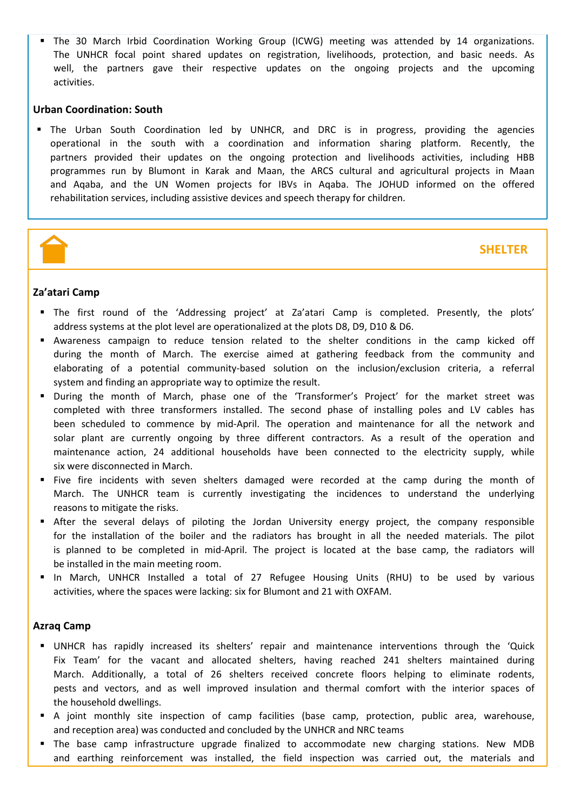▪ The 30 March Irbid Coordination Working Group (ICWG) meeting was attended by 14 organizations. The UNHCR focal point shared updates on registration, livelihoods, protection, and basic needs. As well, the partners gave their respective updates on the ongoing projects and the upcoming activities.

#### **Urban Coordination: South**

**■** The Urban South Coordination led by UNHCR, and DRC is in progress, providing the agencies operational in the south with a coordination and information sharing platform. Recently, the partners provided their updates on the ongoing protection and livelihoods activities, including HBB programmes run by Blumont in Karak and Maan, the ARCS cultural and agricultural projects in Maan and Aqaba, and the UN Women projects for IBVs in Aqaba. The JOHUD informed on the offered rehabilitation services, including assistive devices and speech therapy for children.



### **SHELTER**

#### **Za'atari Camp**

- The first round of the 'Addressing project' at Za'atari Camp is completed. Presently, the plots' address systems at the plot level are operationalized at the plots D8, D9, D10 & D6.
- Awareness campaign to reduce tension related to the shelter conditions in the camp kicked off during the month of March. The exercise aimed at gathering feedback from the community and elaborating of a potential community-based solution on the inclusion/exclusion criteria, a referral system and finding an appropriate way to optimize the result.
- During the month of March, phase one of the 'Transformer's Project' for the market street was completed with three transformers installed. The second phase of installing poles and LV cables has been scheduled to commence by mid-April. The operation and maintenance for all the network and solar plant are currently ongoing by three different contractors. As a result of the operation and maintenance action, 24 additional households have been connected to the electricity supply, while six were disconnected in March.
- Five fire incidents with seven shelters damaged were recorded at the camp during the month of March. The UNHCR team is currently investigating the incidences to understand the underlying reasons to mitigate the risks.
- **E** After the several delays of piloting the Jordan University energy project, the company responsible for the installation of the boiler and the radiators has brought in all the needed materials. The pilot is planned to be completed in mid-April. The project is located at the base camp, the radiators will be installed in the main meeting room.
- In March, UNHCR Installed a total of 27 Refugee Housing Units (RHU) to be used by various activities, where the spaces were lacking: six for Blumont and 21 with OXFAM.

#### **Azraq Camp**

- UNHCR has rapidly increased its shelters' repair and maintenance interventions through the 'Quick Fix Team' for the vacant and allocated shelters, having reached 241 shelters maintained during March. Additionally, a total of 26 shelters received concrete floors helping to eliminate rodents, pests and vectors, and as well improved insulation and thermal comfort with the interior spaces of the household dwellings.
- A joint monthly site inspection of camp facilities (base camp, protection, public area, warehouse, and reception area) was conducted and concluded by the UNHCR and NRC teams
- The base camp infrastructure upgrade finalized to accommodate new charging stations. New MDB and earthing reinforcement was installed, the field inspection was carried out, the materials and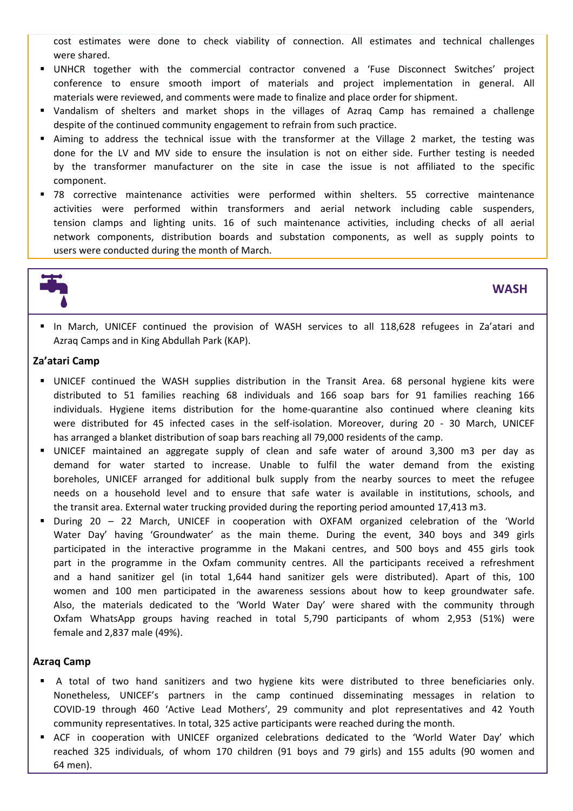cost estimates were done to check viability of connection. All estimates and technical challenges were shared.

- UNHCR together with the commercial contractor convened a 'Fuse Disconnect Switches' project conference to ensure smooth import of materials and project implementation in general. All materials were reviewed, and comments were made to finalize and place order for shipment.
- Vandalism of shelters and market shops in the villages of Azraq Camp has remained a challenge despite of the continued community engagement to refrain from such practice.
- Aiming to address the technical issue with the transformer at the Village 2 market, the testing was done for the LV and MV side to ensure the insulation is not on either side. Further testing is needed by the transformer manufacturer on the site in case the issue is not affiliated to the specific component.
- 78 corrective maintenance activities were performed within shelters. 55 corrective maintenance activities were performed within transformers and aerial network including cable suspenders, tension clamps and lighting units. 16 of such maintenance activities, including checks of all aerial network components, distribution boards and substation components, as well as supply points to users were conducted during the month of March.



**WASH**

▪ In March, UNICEF continued the provision of WASH services to all 118,628 refugees in Za'atari and Azraq Camps and in King Abdullah Park (KAP).

### **Za'atari Camp**

- **■** UNICEF continued the WASH supplies distribution in the Transit Area. 68 personal hygiene kits were distributed to 51 families reaching 68 individuals and 166 soap bars for 91 families reaching 166 individuals. Hygiene items distribution for the home-quarantine also continued where cleaning kits were distributed for 45 infected cases in the self-isolation. Moreover, during 20 - 30 March, UNICEF has arranged a blanket distribution of soap bars reaching all 79,000 residents of the camp.
- UNICEF maintained an aggregate supply of clean and safe water of around 3,300 m3 per day as demand for water started to increase. Unable to fulfil the water demand from the existing boreholes, UNICEF arranged for additional bulk supply from the nearby sources to meet the refugee needs on a household level and to ensure that safe water is available in institutions, schools, and the transit area. External water trucking provided during the reporting period amounted 17,413 m3.
- During 20 22 March, UNICEF in cooperation with OXFAM organized celebration of the 'World Water Day' having 'Groundwater' as the main theme. During the event, 340 boys and 349 girls participated in the interactive programme in the Makani centres, and 500 boys and 455 girls took part in the programme in the Oxfam community centres. All the participants received a refreshment and a hand sanitizer gel (in total 1,644 hand sanitizer gels were distributed). Apart of this, 100 women and 100 men participated in the awareness sessions about how to keep groundwater safe. Also, the materials dedicated to the 'World Water Day' were shared with the community through Oxfam WhatsApp groups having reached in total 5,790 participants of whom 2,953 (51%) were female and 2,837 male (49%).

#### **Azraq Camp**

- A total of two hand sanitizers and two hygiene kits were distributed to three beneficiaries only. Nonetheless, UNICEF's partners in the camp continued disseminating messages in relation to COVID-19 through 460 'Active Lead Mothers', 29 community and plot representatives and 42 Youth community representatives. In total, 325 active participants were reached during the month.
- **■** ACF in cooperation with UNICEF organized celebrations dedicated to the 'World Water Day' which reached 325 individuals, of whom 170 children (91 boys and 79 girls) and 155 adults (90 women and 64 men).